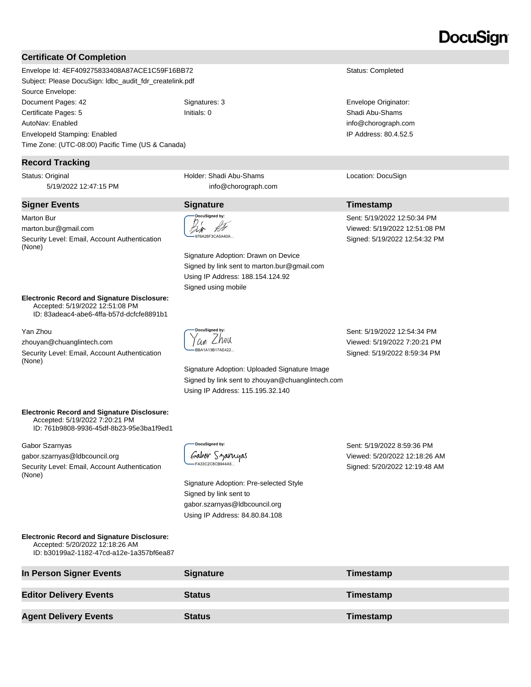# DocuSian

#### **Certificate Of Completion**

Envelope Id: 4EF409275833408A87ACE1C59F16BB72 Status: Completed Subject: Please DocuSign: ldbc\_audit\_fdr\_createlink.pdf Source Envelope: Document Pages: 42 **Signatures: 3** Signatures: 3 **Envelope Originator:** Certificate Pages: 5 Initials: 0 Shadi Abu-Shams AutoNav: Enabled EnvelopeId Stamping: Enabled Time Zone: (UTC-08:00) Pacific Time (US & Canada)

#### **Record Tracking**

Status: Original 5/19/2022 12:47:15 PM

#### **Signer Events Signature Timestamp**

Marton Bur marton.bur@gmail.com Security Level: Email, Account Authentication (None)

**Electronic Record and Signature Disclosure:**  Accepted: 5/19/2022 12:51:08 PM ID: 83adeac4-abe6-4ffa-b57d-dcfcfe8891b1

Yan Zhou

zhouyan@chuanglintech.com

Security Level: Email, Account Authentication (None)

Holder: Shadi Abu-Shams info@chorograph.com

DocuSigned by: fF み 

Signature Adoption: Drawn on Device Signed by link sent to marton.bur@gmail.com Using IP Address: 188.154.124.92 Signed using mobile

cuSigned by '*an Lh*ou BA1A13B17AE422..

Signature Adoption: Uploaded Signature Image Signed by link sent to zhouyan@chuanglintech.com Using IP Address: 115.195.32.140

Sent: 5/19/2022 12:54:34 PM Viewed: 5/19/2022 7:20:21 PM Signed: 5/19/2022 8:59:34 PM

info@chorograph.com IP Address: 80.4.52.5

Location: DocuSign

Sent: 5/19/2022 12:50:34 PM Viewed: 5/19/2022 12:51:08 PM Signed: 5/19/2022 12:54:32 PM

**Electronic Record and Signature Disclosure:**  Accepted: 5/19/2022 7:20:21 PM ID: 761b9808-9936-45df-8b23-95e3ba1f9ed1

Gabor Szarnyas

gabor.szarnyas@ldbcouncil.org

Security Level: Email, Account Authentication (None)

| — DocuSianed bv:    |                |
|---------------------|----------------|
|                     | Gabor Szarnyas |
| $-$ FA33C2C8CB944A5 |                |

Signature Adoption: Pre-selected Style Signed by link sent to gabor.szarnyas@ldbcouncil.org Using IP Address: 84.80.84.108

Sent: 5/19/2022 8:59:36 PM Viewed: 5/20/2022 12:18:26 AM Signed: 5/20/2022 12:19:48 AM

| <b>Electronic Record and Signature Disclosure:</b> |
|----------------------------------------------------|
| Accepted: 5/20/2022 12:18:26 AM                    |
| ID: b30199a2-1182-47cd-a12e-1a357bf6ea87           |

| In Person Signer Events       | <b>Signature</b> | Timestamp |
|-------------------------------|------------------|-----------|
| <b>Editor Delivery Events</b> | <b>Status</b>    | Timestamp |
| <b>Agent Delivery Events</b>  | <b>Status</b>    | Timestamp |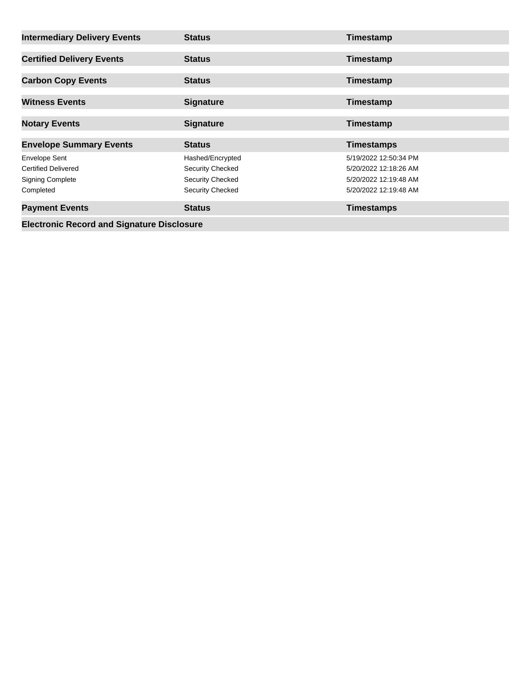| <b>Intermediary Delivery Events</b>               | <b>Status</b>           | Timestamp             |  |  |
|---------------------------------------------------|-------------------------|-----------------------|--|--|
| <b>Certified Delivery Events</b>                  | <b>Status</b>           | Timestamp             |  |  |
| <b>Carbon Copy Events</b>                         | <b>Status</b>           | Timestamp             |  |  |
| <b>Witness Events</b>                             | <b>Signature</b>        | Timestamp             |  |  |
| <b>Notary Events</b>                              | <b>Signature</b>        | Timestamp             |  |  |
| <b>Envelope Summary Events</b>                    | <b>Status</b>           | <b>Timestamps</b>     |  |  |
| <b>Envelope Sent</b>                              | Hashed/Encrypted        | 5/19/2022 12:50:34 PM |  |  |
| <b>Certified Delivered</b>                        | Security Checked        | 5/20/2022 12:18:26 AM |  |  |
| <b>Signing Complete</b>                           | <b>Security Checked</b> | 5/20/2022 12:19:48 AM |  |  |
| Completed                                         | <b>Security Checked</b> | 5/20/2022 12:19:48 AM |  |  |
| <b>Payment Events</b>                             | <b>Status</b>           | <b>Timestamps</b>     |  |  |
| <b>Electronic Record and Signature Disclosure</b> |                         |                       |  |  |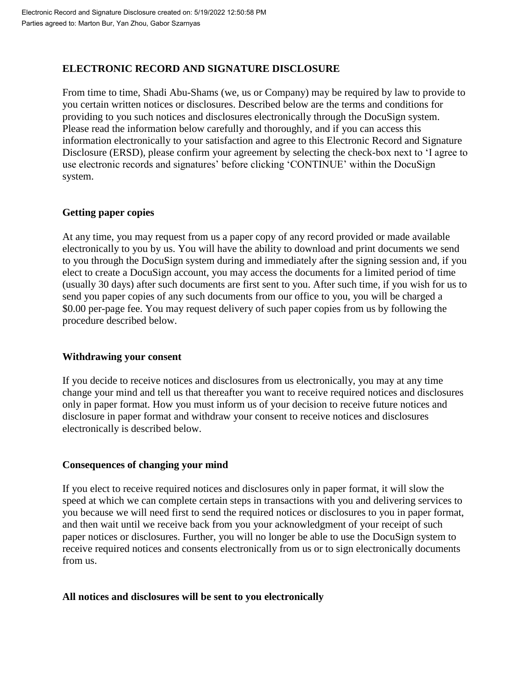# **ELECTRONIC RECORD AND SIGNATURE DISCLOSURE**

From time to time, Shadi Abu-Shams (we, us or Company) may be required by law to provide to you certain written notices or disclosures. Described below are the terms and conditions for providing to you such notices and disclosures electronically through the DocuSign system. Please read the information below carefully and thoroughly, and if you can access this information electronically to your satisfaction and agree to this Electronic Record and Signature Disclosure (ERSD), please confirm your agreement by selecting the check-box next to 'I agree to use electronic records and signatures' before clicking 'CONTINUE' within the DocuSign system.

# **Getting paper copies**

At any time, you may request from us a paper copy of any record provided or made available electronically to you by us. You will have the ability to download and print documents we send to you through the DocuSign system during and immediately after the signing session and, if you elect to create a DocuSign account, you may access the documents for a limited period of time (usually 30 days) after such documents are first sent to you. After such time, if you wish for us to send you paper copies of any such documents from our office to you, you will be charged a \$0.00 per-page fee. You may request delivery of such paper copies from us by following the procedure described below.

## **Withdrawing your consent**

If you decide to receive notices and disclosures from us electronically, you may at any time change your mind and tell us that thereafter you want to receive required notices and disclosures only in paper format. How you must inform us of your decision to receive future notices and disclosure in paper format and withdraw your consent to receive notices and disclosures electronically is described below.

## **Consequences of changing your mind**

If you elect to receive required notices and disclosures only in paper format, it will slow the speed at which we can complete certain steps in transactions with you and delivering services to you because we will need first to send the required notices or disclosures to you in paper format, and then wait until we receive back from you your acknowledgment of your receipt of such paper notices or disclosures. Further, you will no longer be able to use the DocuSign system to receive required notices and consents electronically from us or to sign electronically documents from us.

## **All notices and disclosures will be sent to you electronically**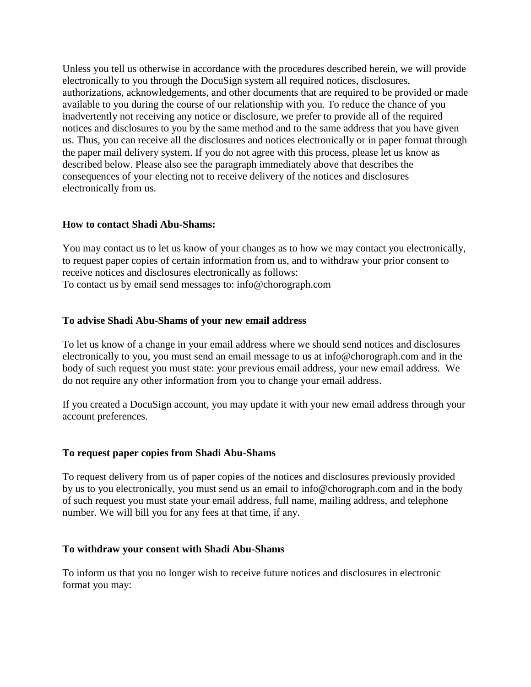Unless you tell us otherwise in accordance with the procedures described herein, we will provide electronically to you through the DocuSign system all required notices, disclosures, authorizations, acknowledgements, and other documents that are required to be provided or made available to you during the course of our relationship with you. To reduce the chance of you inadvertently not receiving any notice or disclosure, we prefer to provide all of the required notices and disclosures to you by the same method and to the same address that you have given us. Thus, you can receive all the disclosures and notices electronically or in paper format through the paper mail delivery system. If you do not agree with this process, please let us know as described below. Please also see the paragraph immediately above that describes the consequences of your electing not to receive delivery of the notices and disclosures electronically from us.

#### **How to contact Shadi Abu-Shams:**

You may contact us to let us know of your changes as to how we may contact you electronically, to request paper copies of certain information from us, and to withdraw your prior consent to receive notices and disclosures electronically as follows: To contact us by email send messages to: info@chorograph.com

#### **To advise Shadi Abu-Shams of your new email address**

To let us know of a change in your email address where we should send notices and disclosures electronically to you, you must send an email message to us at info@chorograph.com and in the body of such request you must state: your previous email address, your new email address. We do not require any other information from you to change your email address.

If you created a DocuSign account, you may update it with your new email address through your account preferences.

#### **To request paper copies from Shadi Abu-Shams**

To request delivery from us of paper copies of the notices and disclosures previously provided by us to you electronically, you must send us an email to info@chorograph.com and in the body of such request you must state your email address, full name, mailing address, and telephone number. We will bill you for any fees at that time, if any.

#### **To withdraw your consent with Shadi Abu-Shams**

To inform us that you no longer wish to receive future notices and disclosures in electronic format you may: